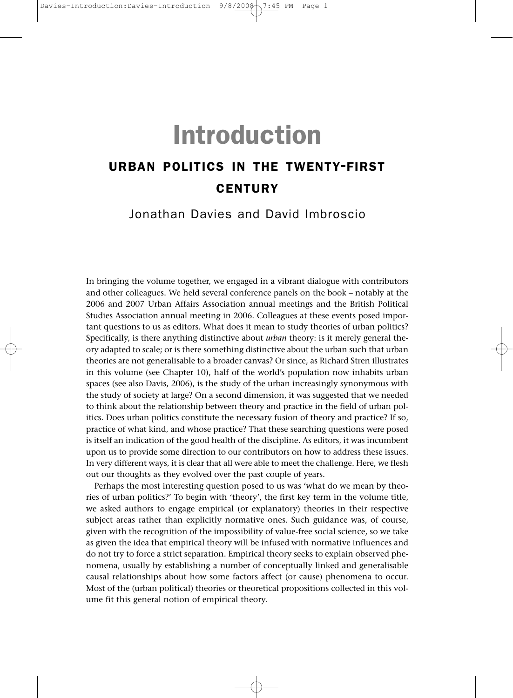# **Introduction**

## **URBAN POLITICS IN THE TWENTY-FIRST CENTURY**

### Jonathan Davies and David Imbroscio

In bringing the volume together, we engaged in a vibrant dialogue with contributors and other colleagues. We held several conference panels on the book – notably at the 2006 and 2007 Urban Affairs Association annual meetings and the British Political Studies Association annual meeting in 2006. Colleagues at these events posed important questions to us as editors. What does it mean to study theories of urban politics? Specifically, is there anything distinctive about *urban* theory: is it merely general theory adapted to scale; or is there something distinctive about the urban such that urban theories are not generalisable to a broader canvas? Or since, as Richard Stren illustrates in this volume (see Chapter 10), half of the world's population now inhabits urban spaces (see also Davis, 2006), is the study of the urban increasingly synonymous with the study of society at large? On a second dimension, it was suggested that we needed to think about the relationship between theory and practice in the field of urban politics. Does urban politics constitute the necessary fusion of theory and practice? If so, practice of what kind, and whose practice? That these searching questions were posed is itself an indication of the good health of the discipline. As editors, it was incumbent upon us to provide some direction to our contributors on how to address these issues. In very different ways, it is clear that all were able to meet the challenge. Here, we flesh out our thoughts as they evolved over the past couple of years.

Perhaps the most interesting question posed to us was 'what do we mean by theories of urban politics?' To begin with 'theory', the first key term in the volume title, we asked authors to engage empirical (or explanatory) theories in their respective subject areas rather than explicitly normative ones. Such guidance was, of course, given with the recognition of the impossibility of value-free social science, so we take as given the idea that empirical theory will be infused with normative influences and do not try to force a strict separation. Empirical theory seeks to explain observed phenomena, usually by establishing a number of conceptually linked and generalisable causal relationships about how some factors affect (or cause) phenomena to occur. Most of the (urban political) theories or theoretical propositions collected in this volume fit this general notion of empirical theory.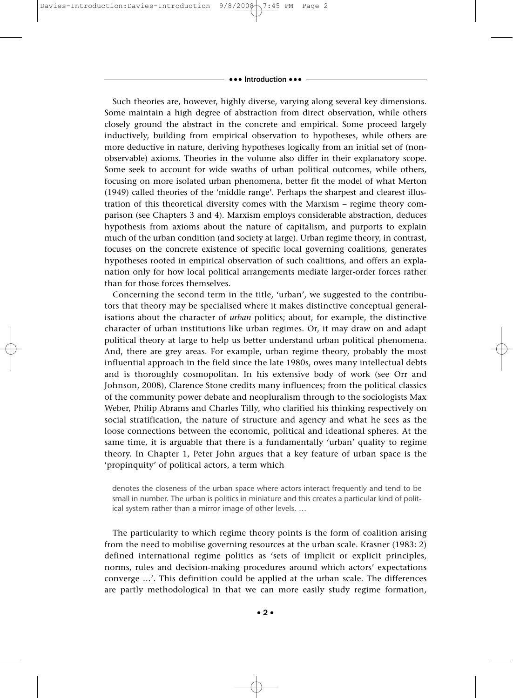Such theories are, however, highly diverse, varying along several key dimensions. Some maintain a high degree of abstraction from direct observation, while others closely ground the abstract in the concrete and empirical. Some proceed largely inductively, building from empirical observation to hypotheses, while others are more deductive in nature, deriving hypotheses logically from an initial set of (nonobservable) axioms. Theories in the volume also differ in their explanatory scope. Some seek to account for wide swaths of urban political outcomes, while others, focusing on more isolated urban phenomena, better fit the model of what Merton (1949) called theories of the 'middle range'. Perhaps the sharpest and clearest illustration of this theoretical diversity comes with the Marxism – regime theory comparison (see Chapters 3 and 4). Marxism employs considerable abstraction, deduces hypothesis from axioms about the nature of capitalism, and purports to explain much of the urban condition (and society at large). Urban regime theory, in contrast, focuses on the concrete existence of specific local governing coalitions, generates hypotheses rooted in empirical observation of such coalitions, and offers an explanation only for how local political arrangements mediate larger-order forces rather than for those forces themselves.

Concerning the second term in the title, 'urban', we suggested to the contributors that theory may be specialised where it makes distinctive conceptual generalisations about the character of *urban* politics; about, for example, the distinctive character of urban institutions like urban regimes. Or, it may draw on and adapt political theory at large to help us better understand urban political phenomena. And, there are grey areas. For example, urban regime theory, probably the most influential approach in the field since the late 1980s, owes many intellectual debts and is thoroughly cosmopolitan. In his extensive body of work (see Orr and Johnson, 2008), Clarence Stone credits many influences; from the political classics of the community power debate and neopluralism through to the sociologists Max Weber, Philip Abrams and Charles Tilly, who clarified his thinking respectively on social stratification, the nature of structure and agency and what he sees as the loose connections between the economic, political and ideational spheres. At the same time, it is arguable that there is a fundamentally 'urban' quality to regime theory. In Chapter 1, Peter John argues that a key feature of urban space is the 'propinquity' of political actors, a term which

denotes the closeness of the urban space where actors interact frequently and tend to be small in number. The urban is politics in miniature and this creates a particular kind of political system rather than a mirror image of other levels. …

The particularity to which regime theory points is the form of coalition arising from the need to mobilise governing resources at the urban scale. Krasner (1983: 2) defined international regime politics as 'sets of implicit or explicit principles, norms, rules and decision-making procedures around which actors' expectations converge …'. This definition could be applied at the urban scale. The differences are partly methodological in that we can more easily study regime formation,

• 2 •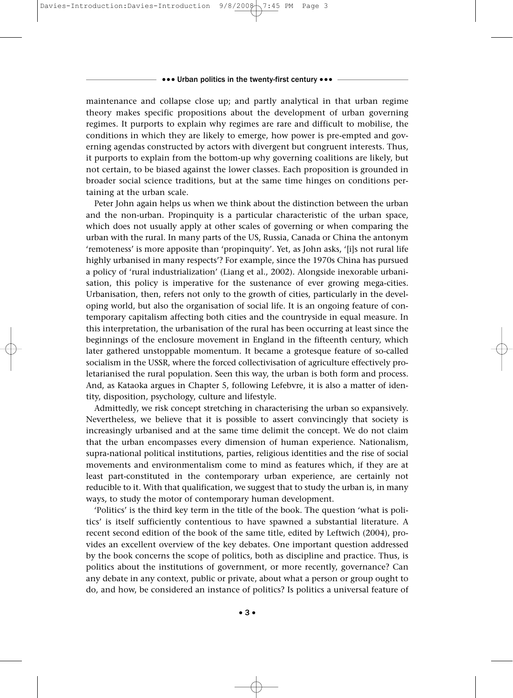maintenance and collapse close up; and partly analytical in that urban regime theory makes specific propositions about the development of urban governing regimes. It purports to explain why regimes are rare and difficult to mobilise, the conditions in which they are likely to emerge, how power is pre-empted and governing agendas constructed by actors with divergent but congruent interests. Thus, it purports to explain from the bottom-up why governing coalitions are likely, but not certain, to be biased against the lower classes. Each proposition is grounded in broader social science traditions, but at the same time hinges on conditions pertaining at the urban scale.

Peter John again helps us when we think about the distinction between the urban and the non-urban. Propinquity is a particular characteristic of the urban space, which does not usually apply at other scales of governing or when comparing the urban with the rural. In many parts of the US, Russia, Canada or China the antonym 'remoteness' is more apposite than 'propinquity'. Yet, as John asks, '[i]s not rural life highly urbanised in many respects'? For example, since the 1970s China has pursued a policy of 'rural industrialization' (Liang et al., 2002). Alongside inexorable urbanisation, this policy is imperative for the sustenance of ever growing mega-cities. Urbanisation, then, refers not only to the growth of cities, particularly in the developing world, but also the organisation of social life. It is an ongoing feature of contemporary capitalism affecting both cities and the countryside in equal measure. In this interpretation, the urbanisation of the rural has been occurring at least since the beginnings of the enclosure movement in England in the fifteenth century, which later gathered unstoppable momentum. It became a grotesque feature of so-called socialism in the USSR, where the forced collectivisation of agriculture effectively proletarianised the rural population. Seen this way, the urban is both form and process. And, as Kataoka argues in Chapter 5, following Lefebvre, it is also a matter of identity, disposition, psychology, culture and lifestyle.

Admittedly, we risk concept stretching in characterising the urban so expansively. Nevertheless, we believe that it is possible to assert convincingly that society is increasingly urbanised and at the same time delimit the concept. We do not claim that the urban encompasses every dimension of human experience. Nationalism, supra-national political institutions, parties, religious identities and the rise of social movements and environmentalism come to mind as features which, if they are at least part-constituted in the contemporary urban experience, are certainly not reducible to it. With that qualification, we suggest that to study the urban is, in many ways, to study the motor of contemporary human development.

'Politics' is the third key term in the title of the book. The question 'what is politics' is itself sufficiently contentious to have spawned a substantial literature. A recent second edition of the book of the same title, edited by Leftwich (2004), provides an excellent overview of the key debates. One important question addressed by the book concerns the scope of politics, both as discipline and practice. Thus, is politics about the institutions of government, or more recently, governance? Can any debate in any context, public or private, about what a person or group ought to do, and how, be considered an instance of politics? Is politics a universal feature of

• 3 •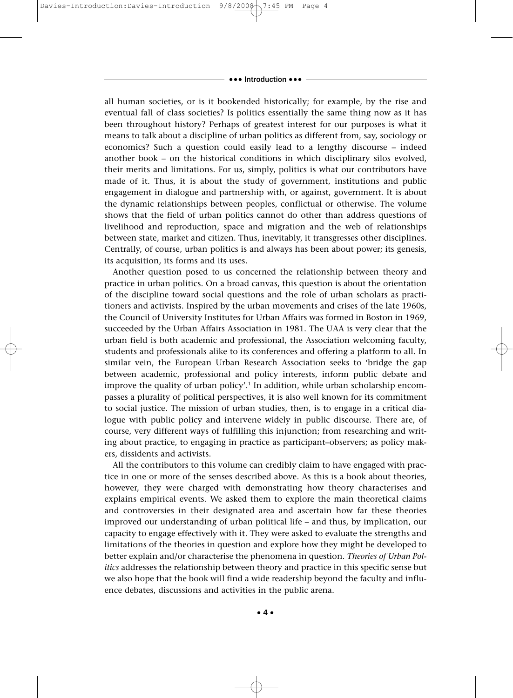all human societies, or is it bookended historically; for example, by the rise and eventual fall of class societies? Is politics essentially the same thing now as it has been throughout history? Perhaps of greatest interest for our purposes is what it means to talk about a discipline of urban politics as different from, say, sociology or economics? Such a question could easily lead to a lengthy discourse – indeed another book – on the historical conditions in which disciplinary silos evolved, their merits and limitations. For us, simply, politics is what our contributors have made of it. Thus, it is about the study of government, institutions and public engagement in dialogue and partnership with, or against, government. It is about the dynamic relationships between peoples, conflictual or otherwise. The volume shows that the field of urban politics cannot do other than address questions of livelihood and reproduction, space and migration and the web of relationships between state, market and citizen. Thus, inevitably, it transgresses other disciplines. Centrally, of course, urban politics is and always has been about power; its genesis, its acquisition, its forms and its uses.

Another question posed to us concerned the relationship between theory and practice in urban politics. On a broad canvas, this question is about the orientation of the discipline toward social questions and the role of urban scholars as practitioners and activists. Inspired by the urban movements and crises of the late 1960s, the Council of University Institutes for Urban Affairs was formed in Boston in 1969, succeeded by the Urban Affairs Association in 1981. The UAA is very clear that the urban field is both academic and professional, the Association welcoming faculty, students and professionals alike to its conferences and offering a platform to all. In similar vein, the European Urban Research Association seeks to 'bridge the gap between academic, professional and policy interests, inform public debate and improve the quality of urban policy'. <sup>1</sup> In addition, while urban scholarship encompasses a plurality of political perspectives, it is also well known for its commitment to social justice. The mission of urban studies, then, is to engage in a critical dialogue with public policy and intervene widely in public discourse. There are, of course, very different ways of fulfilling this injunction; from researching and writing about practice, to engaging in practice as participant–observers; as policy makers, dissidents and activists.

All the contributors to this volume can credibly claim to have engaged with practice in one or more of the senses described above. As this is a book about theories, however, they were charged with demonstrating how theory characterises and explains empirical events. We asked them to explore the main theoretical claims and controversies in their designated area and ascertain how far these theories improved our understanding of urban political life – and thus, by implication, our capacity to engage effectively with it. They were asked to evaluate the strengths and limitations of the theories in question and explore how they might be developed to better explain and/or characterise the phenomena in question. *Theories of Urban Politics* addresses the relationship between theory and practice in this specific sense but we also hope that the book will find a wide readership beyond the faculty and influence debates, discussions and activities in the public arena.

• 4 •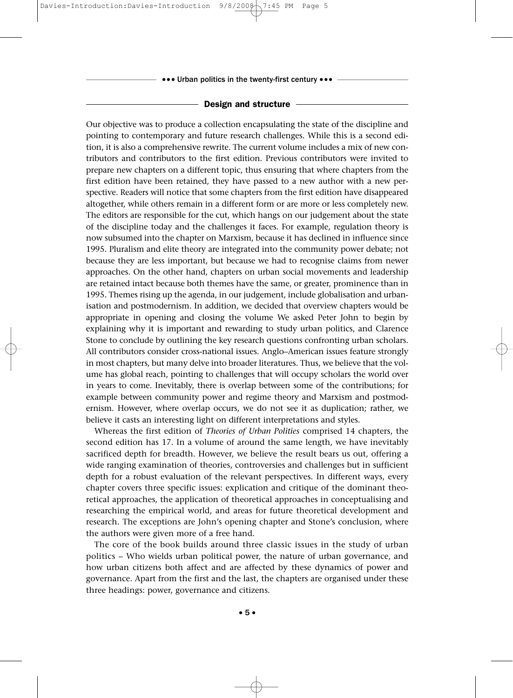••• Urban politics in the twenty-first century •••

#### **Design and structure**

Our objective was to produce a collection encapsulating the state of the discipline and pointing to contemporary and future research challenges. While this is a second edition, it is also a comprehensive rewrite. The current volume includes a mix of new contributors and contributors to the first edition. Previous contributors were invited to prepare new chapters on a different topic, thus ensuring that where chapters from the first edition have been retained, they have passed to a new author with a new perspective. Readers will notice that some chapters from the first edition have disappeared altogether, while others remain in a different form or are more or less completely new. The editors are responsible for the cut, which hangs on our judgement about the state of the discipline today and the challenges it faces. For example, regulation theory is now subsumed into the chapter on Marxism, because it has declined in influence since 1995. Pluralism and elite theory are integrated into the community power debate; not because they are less important, but because we had to recognise claims from newer approaches. On the other hand, chapters on urban social movements and leadership are retained intact because both themes have the same, or greater, prominence than in 1995. Themes rising up the agenda, in our judgement, include globalisation and urbanisation and postmodernism. In addition, we decided that overview chapters would be appropriate in opening and closing the volume We asked Peter John to begin by explaining why it is important and rewarding to study urban politics, and Clarence Stone to conclude by outlining the key research questions confronting urban scholars. All contributors consider cross-national issues. Anglo–American issues feature strongly in most chapters, but many delve into broader literatures. Thus, we believe that the volume has global reach, pointing to challenges that will occupy scholars the world over in years to come. Inevitably, there is overlap between some of the contributions; for example between community power and regime theory and Marxism and postmodernism. However, where overlap occurs, we do not see it as duplication; rather, we believe it casts an interesting light on different interpretations and styles.

Whereas the first edition of *Theories of Urban Polities* comprised 14 chapters, the second edition has 17. In a volume of around the same length, we have inevitably sacrificed depth for breadth. However, we believe the result bears us out, offering a wide ranging examination of theories, controversies and challenges but in sufficient depth for a robust evaluation of the relevant perspectives. In different ways, every chapter covers three specific issues: explication and critique of the dominant theoretical approaches, the application of theoretical approaches in conceptualising and researching the empirical world, and areas for future theoretical development and research. The exceptions are John's opening chapter and Stone's conclusion, where the authors were given more of a free hand.

The core of the book builds around three classic issues in the study of urban politics – Who wields urban political power, the nature of urban governance, and how urban citizens both affect and are affected by these dynamics of power and governance. Apart from the first and the last, the chapters are organised under these three headings: power, governance and citizens.

• 5 •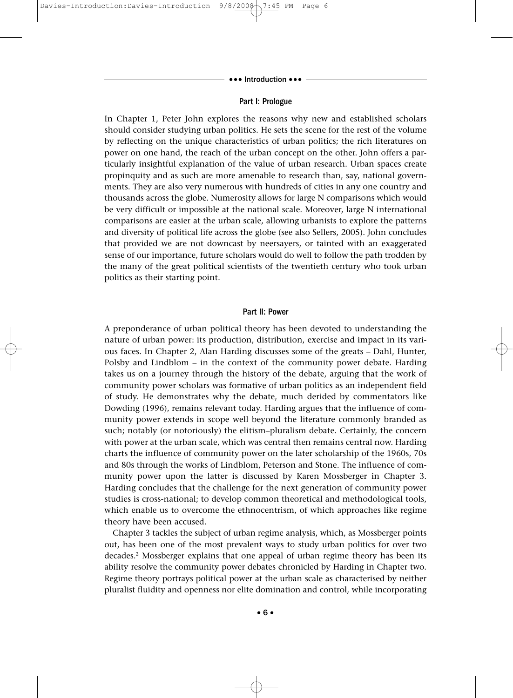#### Part I: Prologue

In Chapter 1, Peter John explores the reasons why new and established scholars should consider studying urban politics. He sets the scene for the rest of the volume by reflecting on the unique characteristics of urban politics; the rich literatures on power on one hand, the reach of the urban concept on the other. John offers a particularly insightful explanation of the value of urban research. Urban spaces create propinquity and as such are more amenable to research than, say, national governments. They are also very numerous with hundreds of cities in any one country and thousands across the globe. Numerosity allows for large N comparisons which would be very difficult or impossible at the national scale. Moreover, large N international comparisons are easier at the urban scale, allowing urbanists to explore the patterns and diversity of political life across the globe (see also Sellers, 2005). John concludes that provided we are not downcast by neersayers, or tainted with an exaggerated sense of our importance, future scholars would do well to follow the path trodden by the many of the great political scientists of the twentieth century who took urban politics as their starting point.

#### Part II: Power

A preponderance of urban political theory has been devoted to understanding the nature of urban power: its production, distribution, exercise and impact in its various faces. In Chapter 2, Alan Harding discusses some of the greats – Dahl, Hunter, Polsby and Lindblom – in the context of the community power debate. Harding takes us on a journey through the history of the debate, arguing that the work of community power scholars was formative of urban politics as an independent field of study. He demonstrates why the debate, much derided by commentators like Dowding (1996), remains relevant today. Harding argues that the influence of community power extends in scope well beyond the literature commonly branded as such; notably (or notoriously) the elitism–pluralism debate. Certainly, the concern with power at the urban scale, which was central then remains central now. Harding charts the influence of community power on the later scholarship of the 1960s, 70s and 80s through the works of Lindblom, Peterson and Stone. The influence of community power upon the latter is discussed by Karen Mossberger in Chapter 3. Harding concludes that the challenge for the next generation of community power studies is cross-national; to develop common theoretical and methodological tools, which enable us to overcome the ethnocentrism, of which approaches like regime theory have been accused.

Chapter 3 tackles the subject of urban regime analysis, which, as Mossberger points out, has been one of the most prevalent ways to study urban politics for over two decades. <sup>2</sup> Mossberger explains that one appeal of urban regime theory has been its ability resolve the community power debates chronicled by Harding in Chapter two. Regime theory portrays political power at the urban scale as characterised by neither pluralist fluidity and openness nor elite domination and control, while incorporating

• 6 •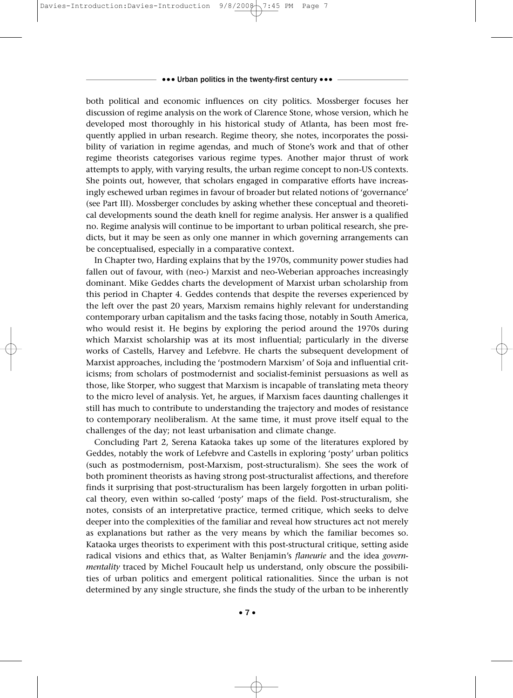both political and economic influences on city politics. Mossberger focuses her discussion of regime analysis on the work of Clarence Stone, whose version, which he developed most thoroughly in his historical study of Atlanta, has been most frequently applied in urban research. Regime theory, she notes, incorporates the possibility of variation in regime agendas, and much of Stone's work and that of other regime theorists categorises various regime types. Another major thrust of work attempts to apply, with varying results, the urban regime concept to non-US contexts. She points out, however, that scholars engaged in comparative efforts have increasingly eschewed urban regimes in favour of broader but related notions of 'governance' (see Part III). Mossberger concludes by asking whether these conceptual and theoretical developments sound the death knell for regime analysis. Her answer is a qualified no. Regime analysis will continue to be important to urban political research, she predicts, but it may be seen as only one manner in which governing arrangements can be conceptualised, especially in a comparative context**.**

In Chapter two, Harding explains that by the 1970s, community power studies had fallen out of favour, with (neo-) Marxist and neo-Weberian approaches increasingly dominant. Mike Geddes charts the development of Marxist urban scholarship from this period in Chapter 4. Geddes contends that despite the reverses experienced by the left over the past 20 years, Marxism remains highly relevant for understanding contemporary urban capitalism and the tasks facing those, notably in South America, who would resist it. He begins by exploring the period around the 1970s during which Marxist scholarship was at its most influential; particularly in the diverse works of Castells, Harvey and Lefebvre. He charts the subsequent development of Marxist approaches, including the 'postmodern Marxism' of Soja and influential criticisms; from scholars of postmodernist and socialist-feminist persuasions as well as those, like Storper, who suggest that Marxism is incapable of translating meta theory to the micro level of analysis. Yet, he argues, if Marxism faces daunting challenges it still has much to contribute to understanding the trajectory and modes of resistance to contemporary neoliberalism. At the same time, it must prove itself equal to the challenges of the day; not least urbanisation and climate change.

Concluding Part 2, Serena Kataoka takes up some of the literatures explored by Geddes, notably the work of Lefebvre and Castells in exploring 'posty' urban politics (such as postmodernism, post-Marxism, post-structuralism). She sees the work of both prominent theorists as having strong post-structuralist affections, and therefore finds it surprising that post-structuralism has been largely forgotten in urban political theory, even within so-called 'posty' maps of the field. Post-structuralism, she notes, consists of an interpretative practice, termed critique, which seeks to delve deeper into the complexities of the familiar and reveal how structures act not merely as explanations but rather as the very means by which the familiar becomes so. Kataoka urges theorists to experiment with this post-structural critique, setting aside radical visions and ethics that, as Walter Benjamin's *flaneurie* and the idea *governmentality* traced by Michel Foucault help us understand, only obscure the possibilities of urban politics and emergent political rationalities. Since the urban is not determined by any single structure, she finds the study of the urban to be inherently

• 7 •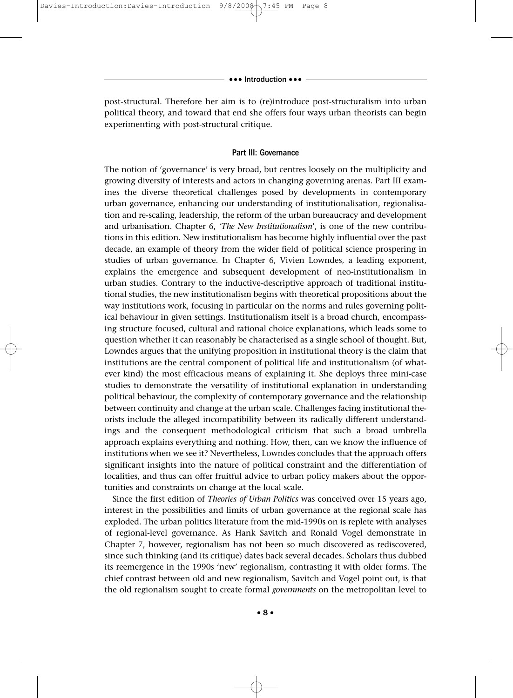post-structural. Therefore her aim is to (re)introduce post-structuralism into urban political theory, and toward that end she offers four ways urban theorists can begin experimenting with post-structural critique.

#### Part III: Governance

The notion of 'governance' is very broad, but centres loosely on the multiplicity and growing diversity of interests and actors in changing governing arenas. Part III examines the diverse theoretical challenges posed by developments in contemporary urban governance, enhancing our understanding of institutionalisation, regionalisation and re-scaling, leadership, the reform of the urban bureaucracy and development and urbanisation. Chapter 6, *'The New Institutionalism*', is one of the new contributions in this edition. New institutionalism has become highly influential over the past decade, an example of theory from the wider field of political science prospering in studies of urban governance. In Chapter 6, Vivien Lowndes, a leading exponent, explains the emergence and subsequent development of neo-institutionalism in urban studies. Contrary to the inductive-descriptive approach of traditional institutional studies, the new institutionalism begins with theoretical propositions about the way institutions work, focusing in particular on the norms and rules governing political behaviour in given settings. Institutionalism itself is a broad church, encompassing structure focused, cultural and rational choice explanations, which leads some to question whether it can reasonably be characterised as a single school of thought. But, Lowndes argues that the unifying proposition in institutional theory is the claim that institutions are the central component of political life and institutionalism (of whatever kind) the most efficacious means of explaining it. She deploys three mini-case studies to demonstrate the versatility of institutional explanation in understanding political behaviour, the complexity of contemporary governance and the relationship between continuity and change at the urban scale. Challenges facing institutional theorists include the alleged incompatibility between its radically different understandings and the consequent methodological criticism that such a broad umbrella approach explains everything and nothing. How, then, can we know the influence of institutions when we see it? Nevertheless, Lowndes concludes that the approach offers significant insights into the nature of political constraint and the differentiation of localities, and thus can offer fruitful advice to urban policy makers about the opportunities and constraints on change at the local scale.

Since the first edition of *Theories of Urban Politics* was conceived over 15 years ago, interest in the possibilities and limits of urban governance at the regional scale has exploded. The urban politics literature from the mid-1990s on is replete with analyses of regional-level governance. As Hank Savitch and Ronald Vogel demonstrate in Chapter 7, however, regionalism has not been so much discovered as rediscovered, since such thinking (and its critique) dates back several decades. Scholars thus dubbed its reemergence in the 1990s 'new' regionalism, contrasting it with older forms. The chief contrast between old and new regionalism, Savitch and Vogel point out, is that the old regionalism sought to create formal *governments* on the metropolitan level to

• 8 •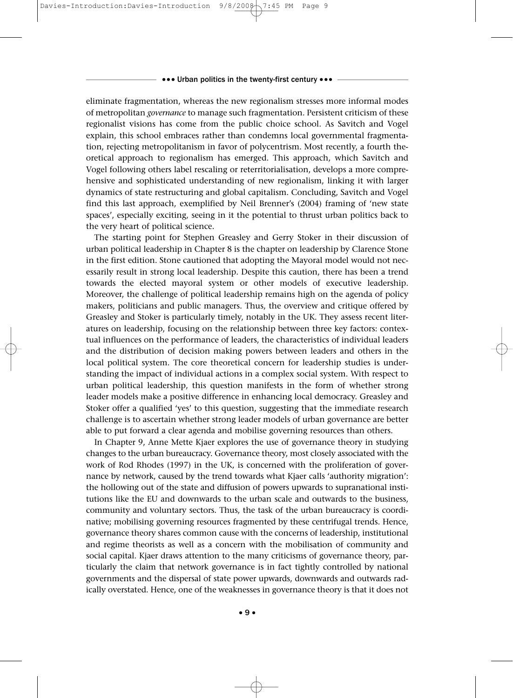eliminate fragmentation, whereas the new regionalism stresses more informal modes of metropolitan *governance* to manage such fragmentation. Persistent criticism of these regionalist visions has come from the public choice school. As Savitch and Vogel explain, this school embraces rather than condemns local governmental fragmentation, rejecting metropolitanism in favor of polycentrism. Most recently, a fourth theoretical approach to regionalism has emerged. This approach, which Savitch and Vogel following others label rescaling or reterritorialisation, develops a more comprehensive and sophisticated understanding of new regionalism, linking it with larger dynamics of state restructuring and global capitalism. Concluding, Savitch and Vogel find this last approach, exemplified by Neil Brenner's (2004) framing of 'new state spaces', especially exciting, seeing in it the potential to thrust urban politics back to the very heart of political science.

The starting point for Stephen Greasley and Gerry Stoker in their discussion of urban political leadership in Chapter 8 is the chapter on leadership by Clarence Stone in the first edition. Stone cautioned that adopting the Mayoral model would not necessarily result in strong local leadership. Despite this caution, there has been a trend towards the elected mayoral system or other models of executive leadership. Moreover, the challenge of political leadership remains high on the agenda of policy makers, politicians and public managers. Thus, the overview and critique offered by Greasley and Stoker is particularly timely, notably in the UK. They assess recent literatures on leadership, focusing on the relationship between three key factors: contextual influences on the performance of leaders, the characteristics of individual leaders and the distribution of decision making powers between leaders and others in the local political system. The core theoretical concern for leadership studies is understanding the impact of individual actions in a complex social system. With respect to urban political leadership, this question manifests in the form of whether strong leader models make a positive difference in enhancing local democracy. Greasley and Stoker offer a qualified 'yes' to this question, suggesting that the immediate research challenge is to ascertain whether strong leader models of urban governance are better able to put forward a clear agenda and mobilise governing resources than others.

In Chapter 9, Anne Mette Kjaer explores the use of governance theory in studying changes to the urban bureaucracy. Governance theory, most closely associated with the work of Rod Rhodes (1997) in the UK, is concerned with the proliferation of governance by network, caused by the trend towards what Kjaer calls 'authority migration': the hollowing out of the state and diffusion of powers upwards to supranational institutions like the EU and downwards to the urban scale and outwards to the business, community and voluntary sectors. Thus, the task of the urban bureaucracy is coordinative; mobilising governing resources fragmented by these centrifugal trends. Hence, governance theory shares common cause with the concerns of leadership, institutional and regime theorists as well as a concern with the mobilisation of community and social capital. Kjaer draws attention to the many criticisms of governance theory, particularly the claim that network governance is in fact tightly controlled by national governments and the dispersal of state power upwards, downwards and outwards radically overstated. Hence, one of the weaknesses in governance theory is that it does not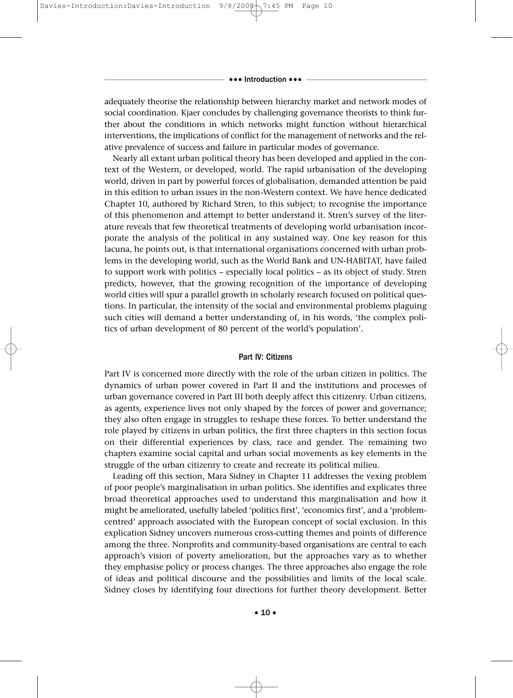adequately theorise the relationship between hierarchy market and network modes of social coordination. Kjaer concludes by challenging governance theorists to think further about the conditions in which networks might function without hierarchical interventions, the implications of conflict for the management of networks and the relative prevalence of success and failure in particular modes of governance.

Nearly all extant urban political theory has been developed and applied in the context of the Western, or developed, world. The rapid urbanisation of the developing world, driven in part by powerful forces of globalisation, demanded attention be paid in this edition to urban issues in the non-Western context. We have hence dedicated Chapter 10, authored by Richard Stren, to this subject; to recognise the importance of this phenomenon and attempt to better understand it. Stren's survey of the literature reveals that few theoretical treatments of developing world urbanisation incorporate the analysis of the political in any sustained way. One key reason for this lacuna, he points out, is that international organisations concerned with urban problems in the developing world, such as the World Bank and UN-HABITAT, have failed to support work with politics – especially local politics – as its object of study. Stren predicts, however, that the growing recognition of the importance of developing world cities will spur a parallel growth in scholarly research focused on political questions. In particular, the intensity of the social and environmental problems plaguing such cities will demand a better understanding of, in his words, 'the complex politics of urban development of 80 percent of the world's population'.

#### Part IV: Citizens

Part IV is concerned more directly with the role of the urban citizen in politics. The dynamics of urban power covered in Part II and the institutions and processes of urban governance covered in Part III both deeply affect this citizenry. Urban citizens, as agents, experience lives not only shaped by the forces of power and governance; they also often engage in struggles to reshape these forces. To better understand the role played by citizens in urban politics, the first three chapters in this section focus on their differential experiences by class, race and gender. The remaining two chapters examine social capital and urban social movements as key elements in the struggle of the urban citizenry to create and recreate its political milieu.

Leading off this section, Mara Sidney in Chapter 11 addresses the vexing problem of poor people's marginalisation in urban politics. She identifies and explicates three broad theoretical approaches used to understand this marginalisation and how it might be ameliorated, usefully labeled 'politics first', 'economics first', and a 'problemcentred' approach associated with the European concept of social exclusion. In this explication Sidney uncovers numerous cross-cutting themes and points of difference among the three. Nonprofits and community-based organisations are central to each approach's vision of poverty amelioration, but the approaches vary as to whether they emphasise policy or process changes. The three approaches also engage the role of ideas and political discourse and the possibilities and limits of the local scale. Sidney closes by identifying four directions for further theory development. Better

• 10 •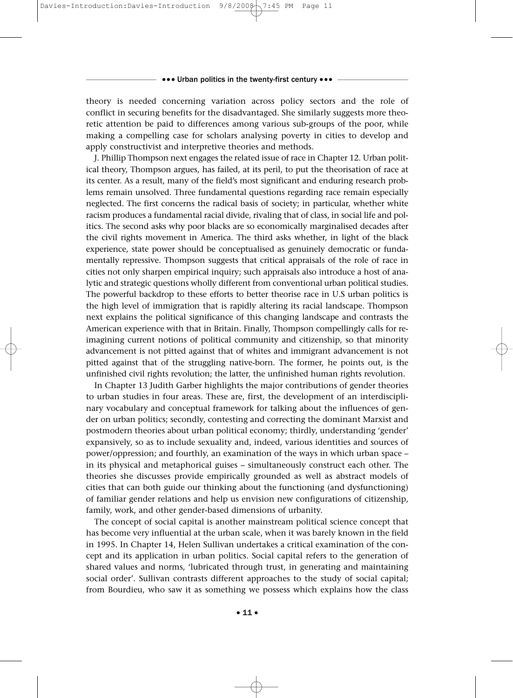#### ••• Urban politics in the twenty-first century •••

Davies-Introduction:Davies-Introduc

theory is needed concerning variation across policy sectors and the role of conflict in securing benefits for the disadvantaged. She similarly suggests more theoretic attention be paid to differences among various sub-groups of the poor, while making a compelling case for scholars analysing poverty in cities to develop and apply constructivist and interpretive theories and methods.

J. Phillip Thompson next engages the related issue of race in Chapter 12. Urban political theory, Thompson argues, has failed, at its peril, to put the theorisation of race at its center. As a result, many of the field's most significant and enduring research problems remain unsolved. Three fundamental questions regarding race remain especially neglected. The first concerns the radical basis of society; in particular, whether white racism produces a fundamental racial divide, rivaling that of class, in social life and politics. The second asks why poor blacks are so economically marginalised decades after the civil rights movement in America. The third asks whether, in light of the black experience, state power should be conceptualised as genuinely democratic or fundamentally repressive. Thompson suggests that critical appraisals of the role of race in cities not only sharpen empirical inquiry; such appraisals also introduce a host of analytic and strategic questions wholly different from conventional urban political studies. The powerful backdrop to these efforts to better theorise race in U.S urban politics is the high level of immigration that is rapidly altering its racial landscape. Thompson next explains the political significance of this changing landscape and contrasts the American experience with that in Britain. Finally, Thompson compellingly calls for reimagining current notions of political community and citizenship, so that minority advancement is not pitted against that of whites and immigrant advancement is not pitted against that of the struggling native-born. The former, he points out, is the unfinished civil rights revolution; the latter, the unfinished human rights revolution.

In Chapter 13 Judith Garber highlights the major contributions of gender theories to urban studies in four areas. These are, first, the development of an interdisciplinary vocabulary and conceptual framework for talking about the influences of gender on urban politics; secondly, contesting and correcting the dominant Marxist and postmodern theories about urban political economy; thirdly, understanding 'gender' expansively, so as to include sexuality and, indeed, various identities and sources of power/oppression; and fourthly, an examination of the ways in which urban space – in its physical and metaphorical guises – simultaneously construct each other. The theories she discusses provide empirically grounded as well as abstract models of cities that can both guide our thinking about the functioning (and dysfunctioning) of familiar gender relations and help us envision new configurations of citizenship, family, work, and other gender-based dimensions of urbanity.

The concept of social capital is another mainstream political science concept that has become very influential at the urban scale, when it was barely known in the field in 1995. In Chapter 14, Helen Sullivan undertakes a critical examination of the concept and its application in urban politics. Social capital refers to the generation of shared values and norms, 'lubricated through trust, in generating and maintaining social order'. Sullivan contrasts different approaches to the study of social capital; from Bourdieu, who saw it as something we possess which explains how the class

• 11 •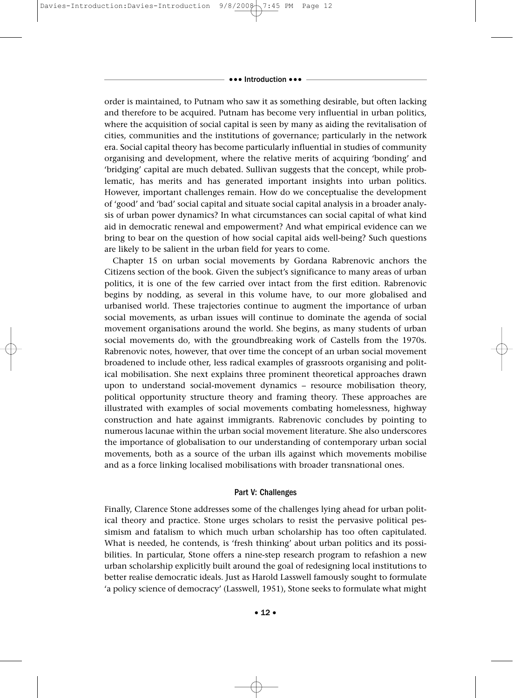order is maintained, to Putnam who saw it as something desirable, but often lacking and therefore to be acquired. Putnam has become very influential in urban politics, where the acquisition of social capital is seen by many as aiding the revitalisation of cities, communities and the institutions of governance; particularly in the network era. Social capital theory has become particularly influential in studies of community organising and development, where the relative merits of acquiring 'bonding' and 'bridging' capital are much debated. Sullivan suggests that the concept, while problematic, has merits and has generated important insights into urban politics. However, important challenges remain. How do we conceptualise the development of 'good' and 'bad' social capital and situate social capital analysis in a broader analysis of urban power dynamics? In what circumstances can social capital of what kind aid in democratic renewal and empowerment? And what empirical evidence can we bring to bear on the question of how social capital aids well-being? Such questions are likely to be salient in the urban field for years to come.

Chapter 15 on urban social movements by Gordana Rabrenovic anchors the Citizens section of the book. Given the subject's significance to many areas of urban politics, it is one of the few carried over intact from the first edition. Rabrenovic begins by nodding, as several in this volume have, to our more globalised and urbanised world. These trajectories continue to augment the importance of urban social movements, as urban issues will continue to dominate the agenda of social movement organisations around the world. She begins, as many students of urban social movements do, with the groundbreaking work of Castells from the 1970s. Rabrenovic notes, however, that over time the concept of an urban social movement broadened to include other, less radical examples of grassroots organising and political mobilisation. She next explains three prominent theoretical approaches drawn upon to understand social-movement dynamics – resource mobilisation theory, political opportunity structure theory and framing theory. These approaches are illustrated with examples of social movements combating homelessness, highway construction and hate against immigrants. Rabrenovic concludes by pointing to numerous lacunae within the urban social movement literature. She also underscores the importance of globalisation to our understanding of contemporary urban social movements, both as a source of the urban ills against which movements mobilise and as a force linking localised mobilisations with broader transnational ones.

#### Part V: Challenges

Finally, Clarence Stone addresses some of the challenges lying ahead for urban political theory and practice. Stone urges scholars to resist the pervasive political pessimism and fatalism to which much urban scholarship has too often capitulated. What is needed, he contends, is 'fresh thinking' about urban politics and its possibilities. In particular, Stone offers a nine-step research program to refashion a new urban scholarship explicitly built around the goal of redesigning local institutions to better realise democratic ideals. Just as Harold Lasswell famously sought to formulate 'a policy science of democracy' (Lasswell, 1951), Stone seeks to formulate what might

• 12 •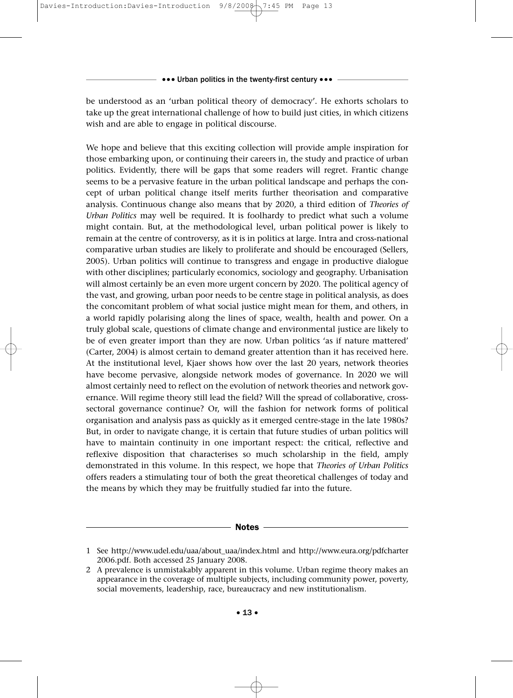••• Urban politics in the twenty-first century •••

be understood as an 'urban political theory of democracy'. He exhorts scholars to take up the great international challenge of how to build just cities, in which citizens wish and are able to engage in political discourse.

We hope and believe that this exciting collection will provide ample inspiration for those embarking upon, or continuing their careers in, the study and practice of urban politics. Evidently, there will be gaps that some readers will regret. Frantic change seems to be a pervasive feature in the urban political landscape and perhaps the concept of urban political change itself merits further theorisation and comparative analysis. Continuous change also means that by 2020, a third edition of *Theories of Urban Politics* may well be required. It is foolhardy to predict what such a volume might contain. But, at the methodological level, urban political power is likely to remain at the centre of controversy, as it is in politics at large. Intra and cross-national comparative urban studies are likely to proliferate and should be encouraged (Sellers, 2005). Urban politics will continue to transgress and engage in productive dialogue with other disciplines; particularly economics, sociology and geography. Urbanisation will almost certainly be an even more urgent concern by 2020. The political agency of the vast, and growing, urban poor needs to be centre stage in political analysis, as does the concomitant problem of what social justice might mean for them, and others, in a world rapidly polarising along the lines of space, wealth, health and power. On a truly global scale, questions of climate change and environmental justice are likely to be of even greater import than they are now. Urban politics 'as if nature mattered' (Carter, 2004) is almost certain to demand greater attention than it has received here. At the institutional level, Kjaer shows how over the last 20 years, network theories have become pervasive, alongside network modes of governance. In 2020 we will almost certainly need to reflect on the evolution of network theories and network governance. Will regime theory still lead the field? Will the spread of collaborative, crosssectoral governance continue? Or, will the fashion for network forms of political organisation and analysis pass as quickly as it emerged centre-stage in the late 1980s? But, in order to navigate change, it is certain that future studies of urban politics will have to maintain continuity in one important respect: the critical, reflective and reflexive disposition that characterises so much scholarship in the field, amply demonstrated in this volume. In this respect, we hope that *Theories of Urban Politics* offers readers a stimulating tour of both the great theoretical challenges of today and the means by which they may be fruitfully studied far into the future.

**Notes**

<sup>1</sup> See http://www.udel.edu/uaa/about\_uaa/index.html and http://www.eura.org/pdfcharter 2006.pdf. Both accessed 25 January 2008.

<sup>2</sup> A prevalence is unmistakably apparent in this volume. Urban regime theory makes an appearance in the coverage of multiple subjects, including community power, poverty, social movements, leadership, race, bureaucracy and new institutionalism.